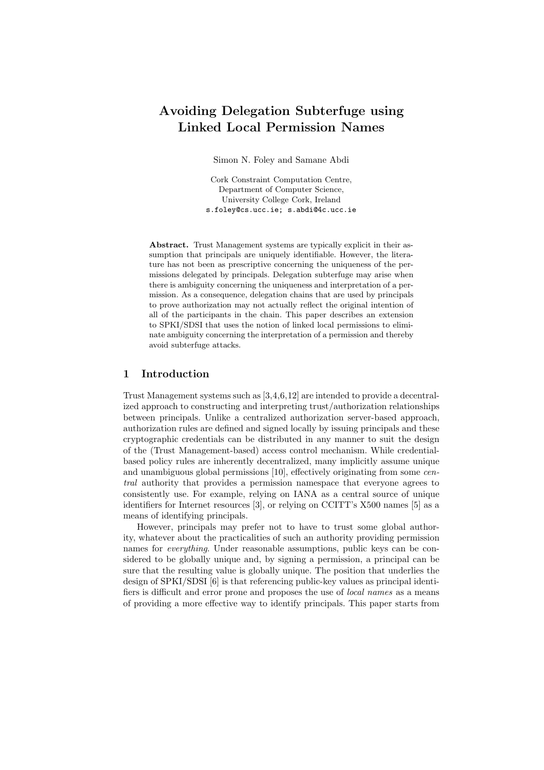# Avoiding Delegation Subterfuge using Linked Local Permission Names

Simon N. Foley and Samane Abdi

Cork Constraint Computation Centre, Department of Computer Science, University College Cork, Ireland s.foley@cs.ucc.ie; s.abdi@4c.ucc.ie

Abstract. Trust Management systems are typically explicit in their assumption that principals are uniquely identifiable. However, the literature has not been as prescriptive concerning the uniqueness of the permissions delegated by principals. Delegation subterfuge may arise when there is ambiguity concerning the uniqueness and interpretation of a permission. As a consequence, delegation chains that are used by principals to prove authorization may not actually reflect the original intention of all of the participants in the chain. This paper describes an extension to SPKI/SDSI that uses the notion of linked local permissions to eliminate ambiguity concerning the interpretation of a permission and thereby avoid subterfuge attacks.

## 1 Introduction

Trust Management systems such as [3,4,6,12] are intended to provide a decentralized approach to constructing and interpreting trust/authorization relationships between principals. Unlike a centralized authorization server-based approach, authorization rules are defined and signed locally by issuing principals and these cryptographic credentials can be distributed in any manner to suit the design of the (Trust Management-based) access control mechanism. While credentialbased policy rules are inherently decentralized, many implicitly assume unique and unambiguous global permissions [10], effectively originating from some central authority that provides a permission namespace that everyone agrees to consistently use. For example, relying on IANA as a central source of unique identifiers for Internet resources [3], or relying on CCITT's X500 names [5] as a means of identifying principals.

However, principals may prefer not to have to trust some global authority, whatever about the practicalities of such an authority providing permission names for *everything*. Under reasonable assumptions, public keys can be considered to be globally unique and, by signing a permission, a principal can be sure that the resulting value is globally unique. The position that underlies the design of SPKI/SDSI [6] is that referencing public-key values as principal identifiers is difficult and error prone and proposes the use of local names as a means of providing a more effective way to identify principals. This paper starts from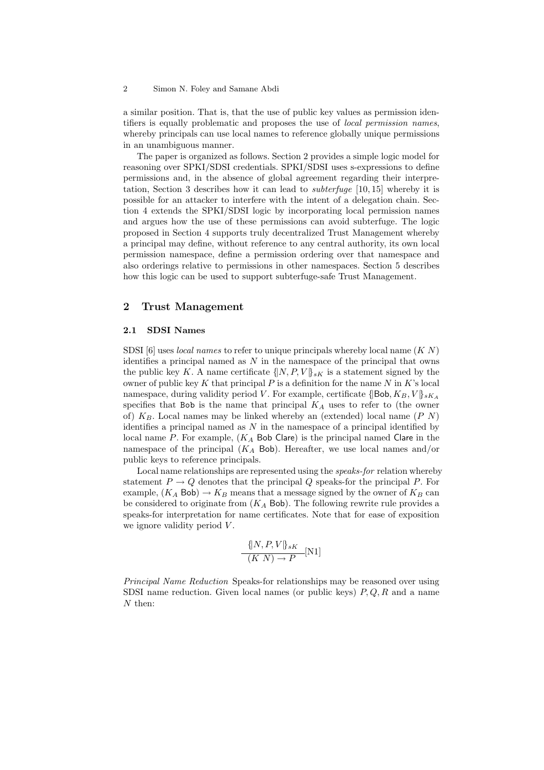a similar position. That is, that the use of public key values as permission identifiers is equally problematic and proposes the use of local permission names, whereby principals can use local names to reference globally unique permissions in an unambiguous manner.

The paper is organized as follows. Section 2 provides a simple logic model for reasoning over SPKI/SDSI credentials. SPKI/SDSI uses s-expressions to define permissions and, in the absence of global agreement regarding their interpretation, Section 3 describes how it can lead to subterfuge [10, 15] whereby it is possible for an attacker to interfere with the intent of a delegation chain. Section 4 extends the SPKI/SDSI logic by incorporating local permission names and argues how the use of these permissions can avoid subterfuge. The logic proposed in Section 4 supports truly decentralized Trust Management whereby a principal may define, without reference to any central authority, its own local permission namespace, define a permission ordering over that namespace and also orderings relative to permissions in other namespaces. Section 5 describes how this logic can be used to support subterfuge-safe Trust Management.

#### 2 Trust Management

#### 2.1 SDSI Names

SDSI [6] uses *local names* to refer to unique principals whereby local name  $(K N)$ identifies a principal named as  $N$  in the namespace of the principal that owns the public key K. A name certificate  $\{[N, P, V]\}_{sK}$  is a statement signed by the owner of public key  $K$  that principal  $P$  is a definition for the name  $N$  in  $K$ 's local namespace, during validity period V. For example, certificate  $\{\vert \text{Bob}, K_B, V \vert\}_{sK_A}$ specifies that Bob is the name that principal  $K_A$  uses to refer to (the owner of)  $K_B$ . Local names may be linked whereby an (extended) local name  $(P N)$ identifies a principal named as  $N$  in the namespace of a principal identified by local name P. For example,  $(K<sub>A</sub>$  Bob Clare) is the principal named Clare in the namespace of the principal  $(K_A$  Bob). Hereafter, we use local names and/or public keys to reference principals.

Local name relationships are represented using the speaks-for relation whereby statement  $P \to Q$  denotes that the principal Q speaks-for the principal P. For example,  $(K_A$  Bob)  $\rightarrow K_B$  means that a message signed by the owner of  $K_B$  can be considered to originate from  $(K_A$  Bob). The following rewrite rule provides a speaks-for interpretation for name certificates. Note that for ease of exposition we ignore validity period  $V$ .

$$
\frac{\{[N, P, V]\}_{sK}}{(K\ N)\rightarrow P}[\text{N1}]
$$

Principal Name Reduction Speaks-for relationships may be reasoned over using SDSI name reduction. Given local names (or public keys)  $P, Q, R$  and a name N then: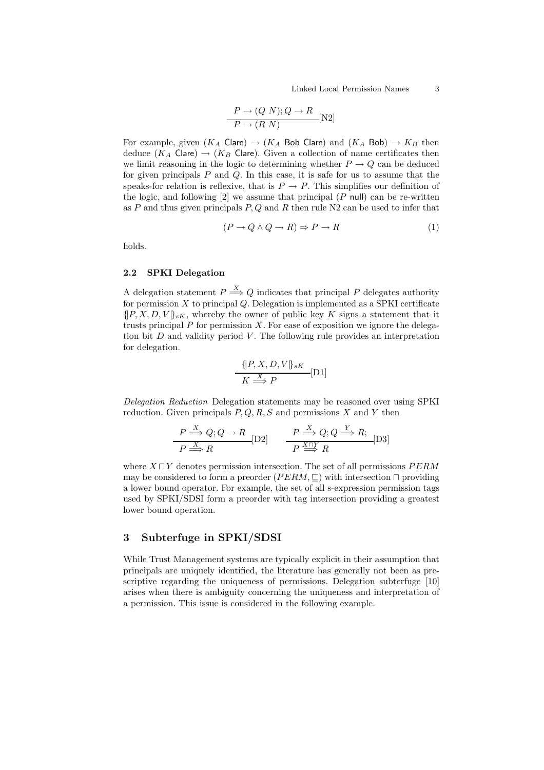$$
\frac{P \to (Q \ N); Q \to R}{P \to (R \ N)}
$$
 [N2]

For example, given  $(K_A \text{ Clare}) \rightarrow (K_A \text{ Bob Clare})$  and  $(K_A \text{ Bob}) \rightarrow K_B$  then deduce  $(K_A \text{ Clare}) \rightarrow (K_B \text{ Clare})$ . Given a collection of name certificates then we limit reasoning in the logic to determining whether  $P \to Q$  can be deduced for given principals  $P$  and  $Q$ . In this case, it is safe for us to assume that the speaks-for relation is reflexive, that is  $P \to P$ . This simplifies our definition of the logic, and following  $[2]$  we assume that principal  $(P \text{ null})$  can be re-written as P and thus given principals  $P, Q$  and R then rule N2 can be used to infer that

$$
(P \to Q \land Q \to R) \Rightarrow P \to R \tag{1}
$$

holds.

#### 2.2 SPKI Delegation

A delegation statement  $P \stackrel{X}{\Longrightarrow} Q$  indicates that principal P delegates authority for permission  $X$  to principal  $Q$ . Delegation is implemented as a SPKI certificate  $\{[P, X, D, V]\}_{sK}$ , whereby the owner of public key K signs a statement that it trusts principal  $P$  for permission  $X$ . For ease of exposition we ignore the delegation bit  $D$  and validity period  $V$ . The following rule provides an interpretation for delegation.

$$
\frac{\{[P, X, D, V]\}_{sK}}{K \stackrel{X}{\Longrightarrow} P}[\text{D1}]
$$

Delegation Reduction Delegation statements may be reasoned over using SPKI reduction. Given principals  $P, Q, R, S$  and permissions X and Y then

$$
\frac{P \stackrel{X}{\Longrightarrow} Q; Q \to R}{P \stackrel{X}{\Longrightarrow} R} \text{[D2]} \qquad \frac{P \stackrel{X}{\Longrightarrow} Q; Q \stackrel{Y}{\Longrightarrow} R;}{P \stackrel{X \cap Y}{\Longrightarrow} R} \text{[D3]}
$$

where  $X \sqcap Y$  denotes permission intersection. The set of all permissions  $PERM$ may be considered to form a preorder ( $PERM, \sqsubset$ ) with intersection  $\sqcap$  providing a lower bound operator. For example, the set of all s-expression permission tags used by SPKI/SDSI form a preorder with tag intersection providing a greatest lower bound operation.

## 3 Subterfuge in SPKI/SDSI

While Trust Management systems are typically explicit in their assumption that principals are uniquely identified, the literature has generally not been as prescriptive regarding the uniqueness of permissions. Delegation subterfuge [10] arises when there is ambiguity concerning the uniqueness and interpretation of a permission. This issue is considered in the following example.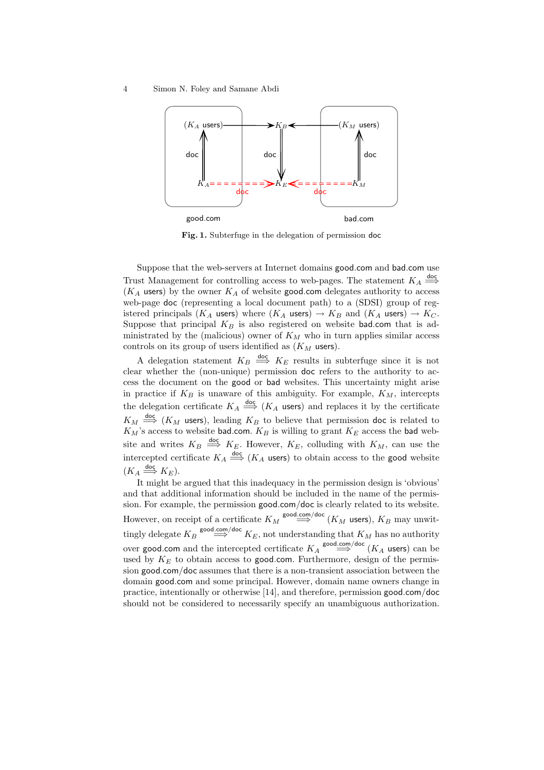

Fig. 1. Subterfuge in the delegation of permission doc

Suppose that the web-servers at Internet domains good.com and bad.com use Trust Management for controlling access to web-pages. The statement  $K_A \stackrel{\text{doc}}{\Longrightarrow}$  $(K_A$  users) by the owner  $K_A$  of website good.com delegates authority to access web-page doc (representing a local document path) to a (SDSI) group of registered principals  $(K_A \text{ users})$  where  $(K_A \text{ users}) \to K_B$  and  $(K_A \text{ users}) \to K_C$ . Suppose that principal  $K_B$  is also registered on website bad.com that is administrated by the (malicious) owner of  $K_M$  who in turn applies similar access controls on its group of users identified as  $(K_M$  users).

A delegation statement  $K_B \stackrel{doc}{\implies} K_E$  results in subterfuge since it is not clear whether the (non-unique) permission doc refers to the authority to access the document on the good or bad websites. This uncertainty might arise in practice if  $K_B$  is unaware of this ambiguity. For example,  $K_M$ , intercepts the delegation certificate  $K_A \stackrel{\text{doc}}{\Longrightarrow} (K_A \text{ users})$  and replaces it by the certificate  $K_M \stackrel{\text{doc}}{\Longrightarrow} (K_M \text{ users}),$  leading  $K_B$  to believe that permission doc is related to  $K_M$ 's access to website bad.com.  $K_B$  is willing to grant  $K_E$  access the bad website and writes  $K_B \stackrel{\text{doc}}{\Longrightarrow} K_E$ . However,  $K_E$ , colluding with  $K_M$ , can use the intercepted certificate  $K_A \stackrel{\text{doc}}{\Longrightarrow} (K_A \text{ users})$  to obtain access to the good website  $(K_A \stackrel{\text{doc}}{\Longrightarrow} K_E).$ 

It might be argued that this inadequacy in the permission design is 'obvious' and that additional information should be included in the name of the permission. For example, the permission good.com/doc is clearly related to its website. However, on receipt of a certificate  $K_M \overset{\text{good.com/doc}}{\Longrightarrow} (K_M \text{ users}), K_B \text{ may unwitt-}$ tingly delegate  $K_B \overset{\text{good.com/doc}}{\Longrightarrow} K_E$ , not understanding that  $K_M$  has no authority over **good.com** and the intercepted certificate  $K_A \overset{\text{good.com/doc}}{\Longrightarrow} (K_A \text{ users})$  can be used by  $K_E$  to obtain access to good.com. Furthermore, design of the permission good.com/doc assumes that there is a non-transient association between the domain good.com and some principal. However, domain name owners change in practice, intentionally or otherwise [14], and therefore, permission good.com/doc should not be considered to necessarily specify an unambiguous authorization.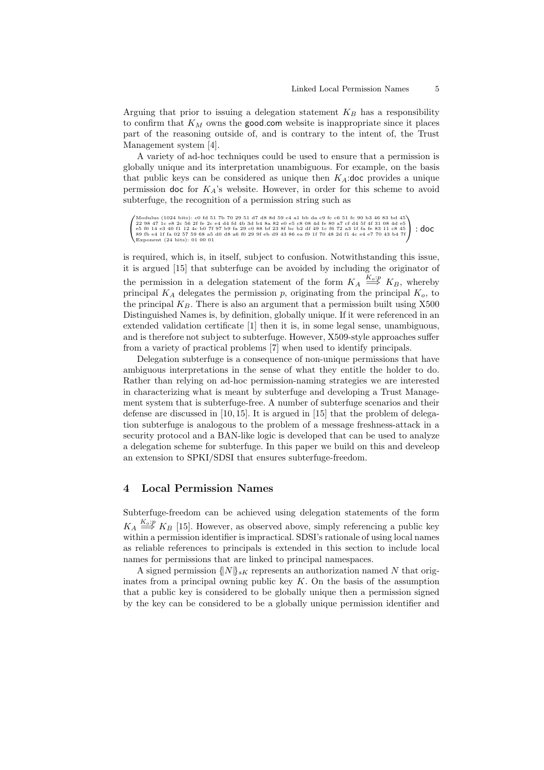Arguing that prior to issuing a delegation statement  $K_B$  has a responsibility to confirm that  $K_M$  owns the good.com website is inappropriate since it places part of the reasoning outside of, and is contrary to the intent of, the Trust Management system [4].

A variety of ad-hoc techniques could be used to ensure that a permission is globally unique and its interpretation unambiguous. For example, on the basis that public keys can be considered as unique then  $K_A$ :doc provides a unique permission doc for  $K_A$ 's website. However, in order for this scheme to avoid subterfuge, the recognition of a permission string such as

```
\begin{pmatrix} \text{Modulus (1024 bits): c0 f a 51 7b 70 29 51 47 48 84 59 c 4 a1 bb da c9 f c 65 1 fe 90 53 46 83 466 83 466 83 47 1c e 8 2c 56 2f f e 2c e 4 d 4f d 4b 3d b 4 8a 82 e 0 e 5 c 8 08 4d 6 80 a 7 c f d 4 5 f 4f 31 08 4d 65 65 61 14 e 3 40 f 1 12 4c b0 7f 97 b 9 f: doc
```
is required, which is, in itself, subject to confusion. Notwithstanding this issue, it is argued [15] that subterfuge can be avoided by including the originator of the permission in a delegation statement of the form  $K_A \stackrel{K_o:p}{\Longrightarrow} K_B$ , whereby principal  $K_A$  delegates the permission p, originating from the principal  $K_o$ , to the principal  $K_B$ . There is also an argument that a permission built using X500 Distinguished Names is, by definition, globally unique. If it were referenced in an extended validation certificate [1] then it is, in some legal sense, unambiguous, and is therefore not subject to subterfuge. However, X509-style approaches suffer from a variety of practical problems [7] when used to identify principals.

Delegation subterfuge is a consequence of non-unique permissions that have ambiguous interpretations in the sense of what they entitle the holder to do. Rather than relying on ad-hoc permission-naming strategies we are interested in characterizing what is meant by subterfuge and developing a Trust Management system that is subterfuge-free. A number of subterfuge scenarios and their defense are discussed in [10, 15]. It is argued in [15] that the problem of delegation subterfuge is analogous to the problem of a message freshness-attack in a security protocol and a BAN-like logic is developed that can be used to analyze a delegation scheme for subterfuge. In this paper we build on this and develeop an extension to SPKI/SDSI that ensures subterfuge-freedom.

## 4 Local Permission Names

Subterfuge-freedom can be achieved using delegation statements of the form  $K_A \stackrel{K_o:p}{\Longrightarrow} K_B$  [15]. However, as observed above, simply referencing a public key within a permission identifier is impractical. SDSI's rationale of using local names as reliable references to principals is extended in this section to include local names for permissions that are linked to principal namespaces.

A signed permission  $\{ |N| \}_{sK}$  represents an authorization named N that originates from a principal owning public key  $K$ . On the basis of the assumption that a public key is considered to be globally unique then a permission signed by the key can be considered to be a globally unique permission identifier and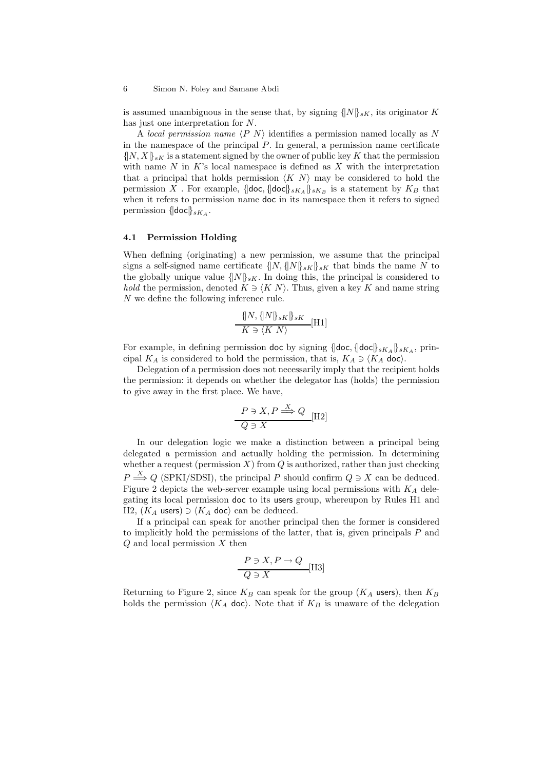is assumed unambiguous in the sense that, by signing  $\{[N]\}_{sK}$ , its originator K has just one interpretation for N.

A local permission name  $\langle P \mid N \rangle$  identifies a permission named locally as N in the namespace of the principal  $P$ . In general, a permission name certificate  $\{[N, X]\}_{sK}$  is a statement signed by the owner of public key K that the permission with name  $N$  in  $K$ 's local namespace is defined as  $X$  with the interpretation that a principal that holds permission  $\langle K \rangle N$  may be considered to hold the permission  $X$  . For example,  $\{\vert \textsf{doc}, \{\vert \textsf{doc} \vert\}_{sK_{A}} \}_{sK_{B}}$  is a statement by  $K_{B}$  that when it refers to permission name doc in its namespace then it refers to signed permission  $\{\vert \text{doc} \vert\}_{sK_A}$ .

#### 4.1 Permission Holding

When defining (originating) a new permission, we assume that the principal signs a self-signed name certificate  $\{[N, \{[N]\}_{sK}\}_{sK}$  that binds the name N to the globally unique value  $\{N\}_{sK}$ . In doing this, the principal is considered to hold the permission, denoted  $K \ni \langle K \rangle$ . Thus, given a key K and name string N we define the following inference rule.

$$
\frac{\{|N, \{|N|\}_{sK}\}_{sK}}{K \ni \langle K|N \rangle} [H1]
$$

For example, in defining permission doc by signing  $\{\{\text{doc}, \{\text{doc}\}\}_{sK_A}\}_{sK_A}$ , principal  $K_A$  is considered to hold the permission, that is,  $K_A \ni \langle K_A \text{ doc} \rangle$ .

Delegation of a permission does not necessarily imply that the recipient holds the permission: it depends on whether the delegator has (holds) the permission to give away in the first place. We have,

$$
\frac{P \ni X, P \stackrel{X}{\Longrightarrow} Q}{Q \ni X} [\text{H2}]
$$

In our delegation logic we make a distinction between a principal being delegated a permission and actually holding the permission. In determining whether a request (permission  $X$ ) from  $Q$  is authorized, rather than just checking  $P \stackrel{X}{\Longrightarrow} Q$  (SPKI/SDSI), the principal P should confirm  $Q \ni X$  can be deduced. Figure 2 depicts the web-server example using local permissions with  $K_A$  delegating its local permission doc to its users group, whereupon by Rules H1 and H2,  $(K_A \text{ users}) \ni \langle K_A \text{ doc} \rangle$  can be deduced.

If a principal can speak for another principal then the former is considered to implicitly hold the permissions of the latter, that is, given principals  $P$  and  $Q$  and local permission  $X$  then

$$
\frac{P \ni X, P \to Q}{Q \ni X} [\text{H3}]
$$

Returning to Figure 2, since  $K_B$  can speak for the group  $(K_A$  users), then  $K_B$ holds the permission  $\langle K_A \, \text{doc} \rangle$ . Note that if  $K_B$  is unaware of the delegation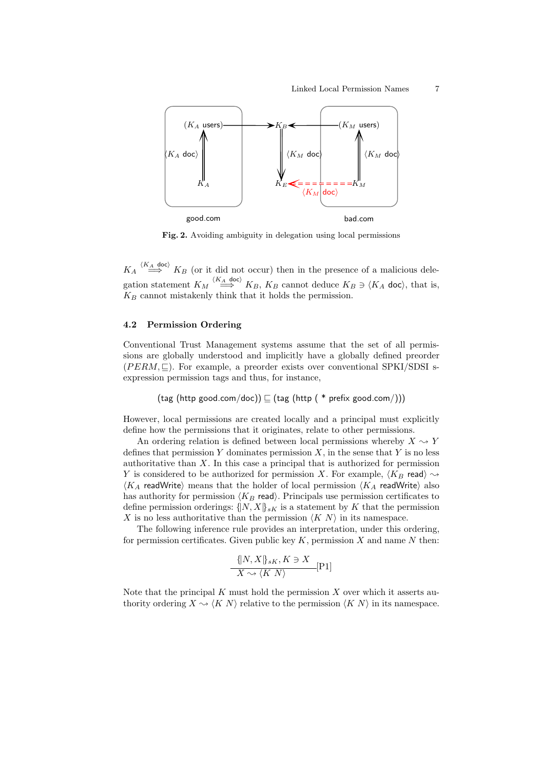

Fig. 2. Avoiding ambiguity in delegation using local permissions

 $K_A \stackrel{(K_A \text{ doc})}{\Longrightarrow} K_B$  (or it did not occur) then in the presence of a malicious delegation statement  $K_M \stackrel{\langle K_A \text{ doc} \rangle}{\Longrightarrow} K_B$ ,  $K_B$  cannot deduce  $K_B \ni \langle K_A \text{ doc} \rangle$ , that is,  $K_B$  cannot mistakenly think that it holds the permission.

#### 4.2 Permission Ordering

Conventional Trust Management systems assume that the set of all permissions are globally understood and implicitly have a globally defined preorder  $(PERM, \Box)$ . For example, a preorder exists over conventional SPKI/SDSI sexpression permission tags and thus, for instance,

$$
(\mathsf{tag (http\ good.com/doc))}\sqsubseteq (\mathsf{tag (http(\ast prefix\ good.com/)))}
$$

However, local permissions are created locally and a principal must explicitly define how the permissions that it originates, relate to other permissions.

An ordering relation is defined between local permissions whereby  $X \rightarrow Y$ defines that permission Y dominates permission  $X$ , in the sense that Y is no less authoritative than X. In this case a principal that is authorized for permission Y is considered to be authorized for permission X. For example,  $\langle K_B \text{ read} \rangle \rightarrow$  $\langle K_A$  readWrite) means that the holder of local permission  $\langle K_A$  readWrite) also has authority for permission  $\langle K_B \text{ read} \rangle$ . Principals use permission certificates to define permission orderings:  $\{N, X\}_{sK}$  is a statement by K that the permission X is no less authoritative than the permission  $\langle K \rangle$  in its namespace.

The following inference rule provides an interpretation, under this ordering, for permission certificates. Given public key  $K$ , permission  $X$  and name  $N$  then:

$$
\frac{\{|N, X|\}_{sK}, K \ni X}{X \rightsquigarrow \langle K|N \rangle} [P1]
$$

Note that the principal  $K$  must hold the permission  $X$  over which it asserts authority ordering  $X \sim \langle K N \rangle$  relative to the permission  $\langle K N \rangle$  in its namespace.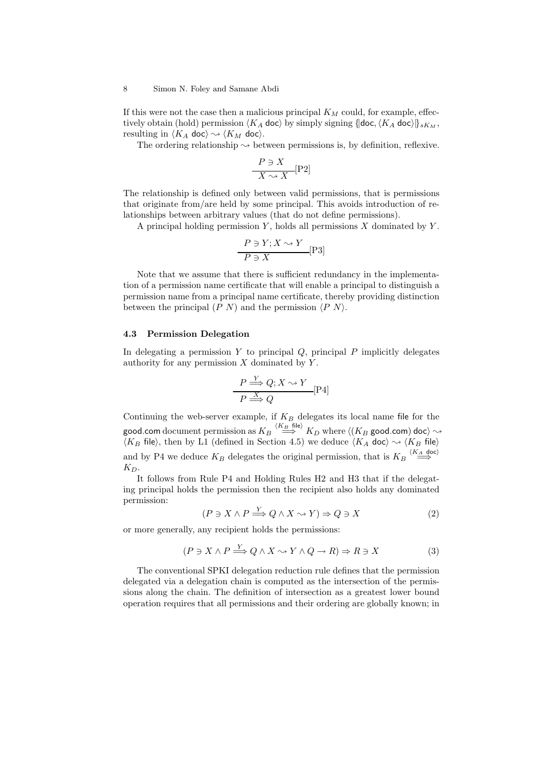If this were not the case then a malicious principal  $K_M$  could, for example, effectively obtain (hold) permission  $\langle K_A \text{ doc} \rangle$  by simply signing { $| \text{doc}, \langle K_A \text{ doc} \rangle |_{sK_M}$ , resulting in  $\langle K_A \text{ doc} \rangle \rightsquigarrow \langle K_M \text{ doc} \rangle$ .

The ordering relationship  $\leadsto$  between permissions is, by definition, reflexive.

$$
\frac{P \ni X}{X \leadsto X} [P2]
$$

The relationship is defined only between valid permissions, that is permissions that originate from/are held by some principal. This avoids introduction of relationships between arbitrary values (that do not define permissions).

A principal holding permission  $Y$ , holds all permissions  $X$  dominated by  $Y$ .

$$
\frac{P \ni Y; X \leadsto Y}{P \ni X} [P3]
$$

Note that we assume that there is sufficient redundancy in the implementation of a permission name certificate that will enable a principal to distinguish a permission name from a principal name certificate, thereby providing distinction between the principal  $(P N)$  and the permission  $\langle P N \rangle$ .

#### 4.3 Permission Delegation

In delegating a permission  $Y$  to principal  $Q$ , principal  $P$  implicitly delegates authority for any permission  $X$  dominated by  $Y$ .

$$
\frac{P \xrightarrow{Y} Q; X \rightsquigarrow Y}{P \xrightarrow{X} Q} [P4]
$$

Continuing the web-server example, if  $K_B$  delegates its local name file for the good.com document permission as  $K_B \stackrel{\langle K_B \text{ file} \rangle}{\Longrightarrow} K_D$  where  $\langle (K_B \text{ good.com})$  doc $\rangle$   $\leadsto$  $\langle K_B \text{ file} \rangle$ , then by L1 (defined in Section 4.5) we deduce  $\langle K_A \text{ doc} \rangle \sim \langle K_B \text{ file} \rangle$ and by P4 we deduce  $K_B$  delegates the original permission, that is  $K_B \stackrel{\langle K_A \text{ doc} \rangle}{\Longrightarrow}$  $K_D$ .

It follows from Rule P4 and Holding Rules H2 and H3 that if the delegating principal holds the permission then the recipient also holds any dominated permission:

$$
(P \ni X \land P \stackrel{Y}{\Longrightarrow} Q \land X \leadsto Y) \Rightarrow Q \ni X \tag{2}
$$

or more generally, any recipient holds the permissions:

$$
(P \ni X \land P \xrightarrow{Y} Q \land X \leadsto Y \land Q \to R) \Rightarrow R \ni X \tag{3}
$$

The conventional SPKI delegation reduction rule defines that the permission delegated via a delegation chain is computed as the intersection of the permissions along the chain. The definition of intersection as a greatest lower bound operation requires that all permissions and their ordering are globally known; in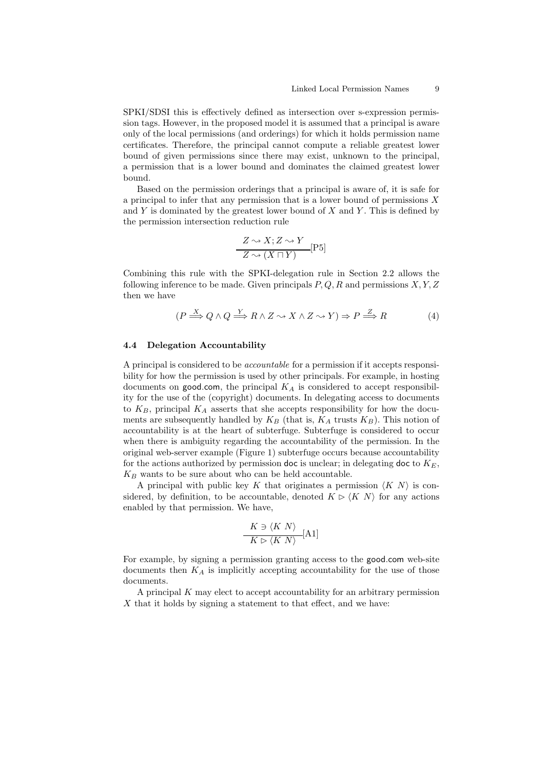SPKI/SDSI this is effectively defined as intersection over s-expression permission tags. However, in the proposed model it is assumed that a principal is aware only of the local permissions (and orderings) for which it holds permission name certificates. Therefore, the principal cannot compute a reliable greatest lower bound of given permissions since there may exist, unknown to the principal, a permission that is a lower bound and dominates the claimed greatest lower bound.

Based on the permission orderings that a principal is aware of, it is safe for a principal to infer that any permission that is a lower bound of permissions  $X$ and  $Y$  is dominated by the greatest lower bound of  $X$  and  $Y$ . This is defined by the permission intersection reduction rule

$$
\frac{Z \rightsquigarrow X; Z \rightsquigarrow Y}{Z \rightsquigarrow (X \sqcap Y)} [P5]
$$

Combining this rule with the SPKI-delegation rule in Section 2.2 allows the following inference to be made. Given principals  $P, Q, R$  and permissions  $X, Y, Z$ then we have

$$
(P \xrightarrow{X} Q \land Q \xrightarrow{Y} R \land Z \rightsquigarrow X \land Z \rightsquigarrow Y) \Rightarrow P \xrightarrow{Z} R \tag{4}
$$

#### 4.4 Delegation Accountability

A principal is considered to be accountable for a permission if it accepts responsibility for how the permission is used by other principals. For example, in hosting documents on good.com, the principal  $K_A$  is considered to accept responsibility for the use of the (copyright) documents. In delegating access to documents to  $K_B$ , principal  $K_A$  asserts that she accepts responsibility for how the documents are subsequently handled by  $K_B$  (that is,  $K_A$  trusts  $K_B$ ). This notion of accountability is at the heart of subterfuge. Subterfuge is considered to occur when there is ambiguity regarding the accountability of the permission. In the original web-server example (Figure 1) subterfuge occurs because accountability for the actions authorized by permission doc is unclear; in delegating doc to  $K_E$ ,  $K_B$  wants to be sure about who can be held accountable.

A principal with public key K that originates a permission  $\langle K N \rangle$  is considered, by definition, to be accountable, denoted  $K \triangleright \langle K \rangle$  for any actions enabled by that permission. We have,

$$
\frac{K \ni \langle K \ N \rangle}{K \vartriangleright \langle K \ N \rangle} [A1]
$$

For example, by signing a permission granting access to the good.com web-site documents then  $K_A$  is implicitly accepting accountability for the use of those documents.

A principal  $K$  may elect to accept accountability for an arbitrary permission  $X$  that it holds by signing a statement to that effect, and we have: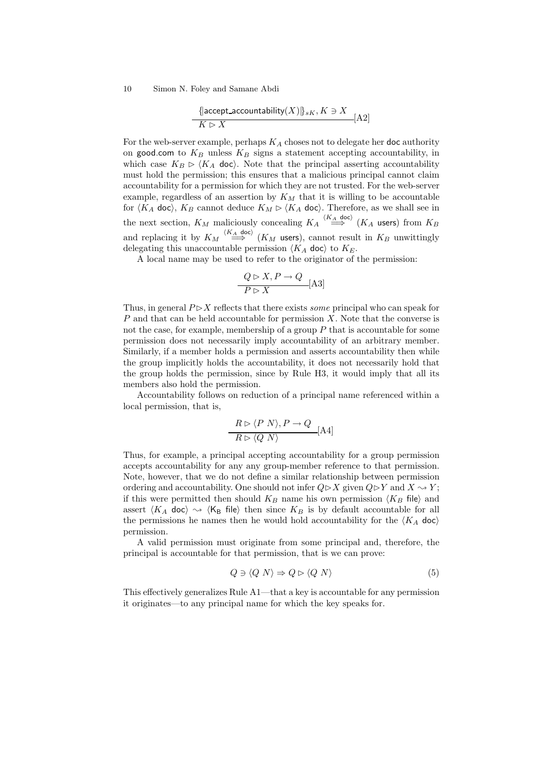$$
\frac{\{\text{accept}\_\text{accountability}(X)\}_{sK}, K \ni X}{K \rhd X} [A2]
$$

For the web-server example, perhaps  $K_A$  choses not to delegate her doc authority on good.com to  $K_B$  unless  $K_B$  signs a statement accepting accountability, in which case  $K_B \triangleright \langle K_A \text{ doc} \rangle$ . Note that the principal asserting accountability must hold the permission; this ensures that a malicious principal cannot claim accountability for a permission for which they are not trusted. For the web-server example, regardless of an assertion by  $K_M$  that it is willing to be accountable for  $\langle K_A \text{ doc} \rangle$ ,  $K_B$  cannot deduce  $K_M \triangleright \langle K_A \text{ doc} \rangle$ . Therefore, as we shall see in the next section,  $K_M$  maliciously concealing  $K_A \stackrel{\langle K_A \text{ doc} \rangle}{\Longrightarrow} (K_A \text{ users})$  from  $K_B$ and replacing it by  $K_M \stackrel{\langle K_A \text{ doc} \rangle}{\Longrightarrow} (K_M \text{ users}),$  cannot result in  $K_B$  unwittingly delegating this unaccountable permission  $\langle K_A \, \text{doc} \rangle$  to  $K_E$ .

A local name may be used to refer to the originator of the permission:

$$
\frac{Q \rhd X, P \to Q}{P \rhd X} \text{[A3]}
$$

Thus, in general  $P\triangleright X$  reflects that there exists *some* principal who can speak for P and that can be held accountable for permission  $X$ . Note that the converse is not the case, for example, membership of a group  $P$  that is accountable for some permission does not necessarily imply accountability of an arbitrary member. Similarly, if a member holds a permission and asserts accountability then while the group implicitly holds the accountability, it does not necessarily hold that the group holds the permission, since by Rule H3, it would imply that all its members also hold the permission.

Accountability follows on reduction of a principal name referenced within a local permission, that is,

$$
\frac{R \rhd \langle P \ N \rangle, P \to Q}{R \rhd \langle Q \ N \rangle} [A4]
$$

Thus, for example, a principal accepting accountability for a group permission accepts accountability for any any group-member reference to that permission. Note, however, that we do not define a similar relationship between permission ordering and accountability. One should not infer  $Q \triangleright X$  given  $Q \triangleright Y$  and  $X \rightsquigarrow Y$ ; if this were permitted then should  $K_B$  name his own permission  $\langle K_B$  file) and assert  $\langle K_A \, \text{doc} \rangle \sim \langle K_B \, \text{file} \rangle$  then since  $K_B$  is by default accountable for all the permissions he names then he would hold accountability for the  $\langle K_A \text{ doc} \rangle$ permission.

A valid permission must originate from some principal and, therefore, the principal is accountable for that permission, that is we can prove:

$$
Q \ni \langle Q \mid N \rangle \Rightarrow Q \rhd \langle Q \mid N \rangle \tag{5}
$$

This effectively generalizes Rule A1—that a key is accountable for any permission it originates—to any principal name for which the key speaks for.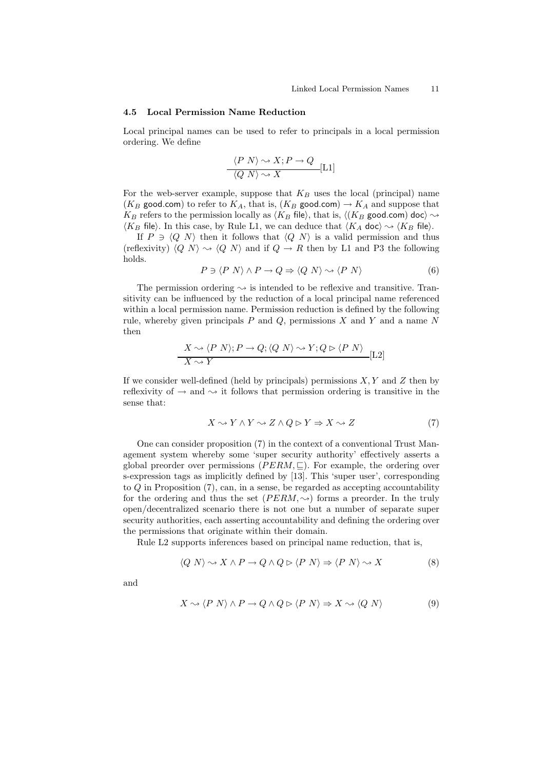#### 4.5 Local Permission Name Reduction

Local principal names can be used to refer to principals in a local permission ordering. We define

$$
\frac{\langle P \ N \rangle \sim X; P \to Q}{\langle Q \ N \rangle \sim X} [\text{L1}]
$$

For the web-server example, suppose that  $K_B$  uses the local (principal) name ( $K_B$  good.com) to refer to  $K_A$ , that is, ( $K_B$  good.com)  $\rightarrow K_A$  and suppose that  $K_B$  refers to the permission locally as  $\langle K_B$  file), that is,  $\langle (K_B \text{ good.com}) \text{ doc} \rangle \rightarrow$  $\langle K_B \text{ file} \rangle$ . In this case, by Rule L1, we can deduce that  $\langle K_A \text{ doc} \rangle \sim \langle K_B \text{ file} \rangle$ .

If  $P \ni \langle Q \mid N \rangle$  then it follows that  $\langle Q \mid N \rangle$  is a valid permission and thus (reflexivity)  $\langle Q \rangle N \rangle \sim \langle Q \rangle N$  and if  $Q \rightarrow R$  then by L1 and P3 the following holds.

$$
P \ni \langle P \ N \rangle \land P \to Q \Rightarrow \langle Q \ N \rangle \leadsto \langle P \ N \rangle \tag{6}
$$

The permission ordering  $\sim$  is intended to be reflexive and transitive. Transitivity can be influenced by the reduction of a local principal name referenced within a local permission name. Permission reduction is defined by the following rule, whereby given principals  $P$  and  $Q$ , permissions  $X$  and  $Y$  and a name  $N$ then

$$
\frac{X \rightsquigarrow \langle P \ N \rangle; P \rightarrow Q; \langle Q \ N \rangle \rightsquigarrow Y; Q \rhd \langle P \ N \rangle}{X \rightsquigarrow Y} [L2]
$$

If we consider well-defined (held by principals) permissions  $X, Y$  and  $Z$  then by reflexivity of  $\rightarrow$  and  $\rightsquigarrow$  it follows that permission ordering is transitive in the sense that:

$$
X \rightsquigarrow Y \land Y \rightsquigarrow Z \land Q \rhd Y \Rightarrow X \rightsquigarrow Z \tag{7}
$$

One can consider proposition (7) in the context of a conventional Trust Management system whereby some 'super security authority' effectively asserts a global preorder over permissions ( $PERM, \subseteq$ ). For example, the ordering over s-expression tags as implicitly defined by [13]. This 'super user', corresponding to Q in Proposition (7), can, in a sense, be regarded as accepting accountability for the ordering and thus the set  $(PERM, \rightarrow)$  forms a preorder. In the truly open/decentralized scenario there is not one but a number of separate super security authorities, each asserting accountability and defining the ordering over the permissions that originate within their domain.

Rule L2 supports inferences based on principal name reduction, that is,

$$
\langle Q \ N \rangle \leadsto X \land P \to Q \land Q \rhd \langle P \ N \rangle \Rightarrow \langle P \ N \rangle \leadsto X \tag{8}
$$

and

$$
X \rightsquigarrow \langle P \ N \rangle \land P \rightarrow Q \land Q \rhd \langle P \ N \rangle \Rightarrow X \rightsquigarrow \langle Q \ N \rangle \tag{9}
$$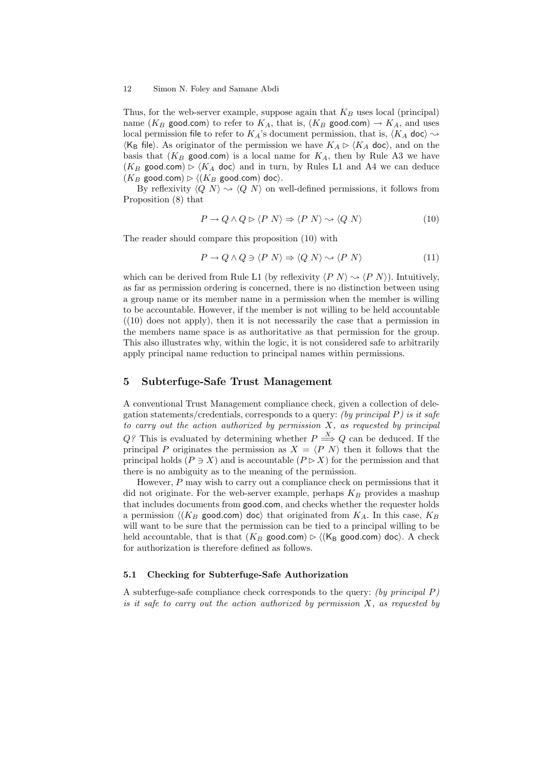Thus, for the web-server example, suppose again that  $K_B$  uses local (principal) name ( $K_B$  good.com) to refer to  $K_A$ , that is, ( $K_B$  good.com)  $\rightarrow K_A$ , and uses local permission file to refer to  $K_A$ 's document permission, that is,  $\langle K_A \text{ doc} \rangle \rightsquigarrow$  $\langle K_B$  file). As originator of the permission we have  $K_A \triangleright \langle K_A \text{ doc} \rangle$ , and on the basis that  $(K_B \text{ good.com})$  is a local name for  $K_A$ , then by Rule A3 we have  $(K_B \text{ good.com}) \triangleright (K_A \text{ doc})$  and in turn, by Rules L1 and A4 we can deduce  $(K_B \text{ good.com}) \triangleright \langle (K_B \text{ good.com}) \text{ doc} \rangle.$ 

By reflexivity  $\langle Q \rangle N \rangle \rightsquigarrow \langle Q \rangle N$  on well-defined permissions, it follows from Proposition (8) that

$$
P \to Q \land Q \rhd \langle P \ N \rangle \Rightarrow \langle P \ N \rangle \sim \langle Q \ N \rangle \tag{10}
$$

The reader should compare this proposition (10) with

$$
P \to Q \land Q \ni \langle P \ N \rangle \Rightarrow \langle Q \ N \rangle \rightsquigarrow \langle P \ N \rangle \tag{11}
$$

which can be derived from Rule L1 (by reflexivity  $\langle P \ N \rangle \sim \langle P \ N \rangle$ ). Intuitively, as far as permission ordering is concerned, there is no distinction between using a group name or its member name in a permission when the member is willing to be accountable. However, if the member is not willing to be held accountable  $(10)$  does not apply), then it is not necessarily the case that a permission in the members name space is as authoritative as that permission for the group. This also illustrates why, within the logic, it is not considered safe to arbitrarily apply principal name reduction to principal names within permissions.

## 5 Subterfuge-Safe Trust Management

A conventional Trust Management compliance check, given a collection of delegation statements/credentials, corresponds to a query: (by principal  $P$ ) is it safe to carry out the action authorized by permission  $X$ , as requested by principal Q? This is evaluated by determining whether  $P \stackrel{X}{\Longrightarrow} Q$  can be deduced. If the principal P originates the permission as  $X = \langle P | N \rangle$  then it follows that the principal holds ( $P \ni X$ ) and is accountable ( $P \triangleright X$ ) for the permission and that there is no ambiguity as to the meaning of the permission.

However, P may wish to carry out a compliance check on permissions that it did not originate. For the web-server example, perhaps  $K_B$  provides a mashup that includes documents from good.com, and checks whether the requester holds a permission  $\langle (K_B \text{ good.com}) \text{ doc} \rangle$  that originated from  $K_A$ . In this case,  $K_B$ will want to be sure that the permission can be tied to a principal willing to be held accountable, that is that  $(K_B \text{ good.com}) \triangleright \langle (K_B \text{ good.com}) \text{ doc} \rangle$ . A check for authorization is therefore defined as follows.

## 5.1 Checking for Subterfuge-Safe Authorization

A subterfuge-safe compliance check corresponds to the query: (by principal  $P$ ) is it safe to carry out the action authorized by permission  $X$ , as requested by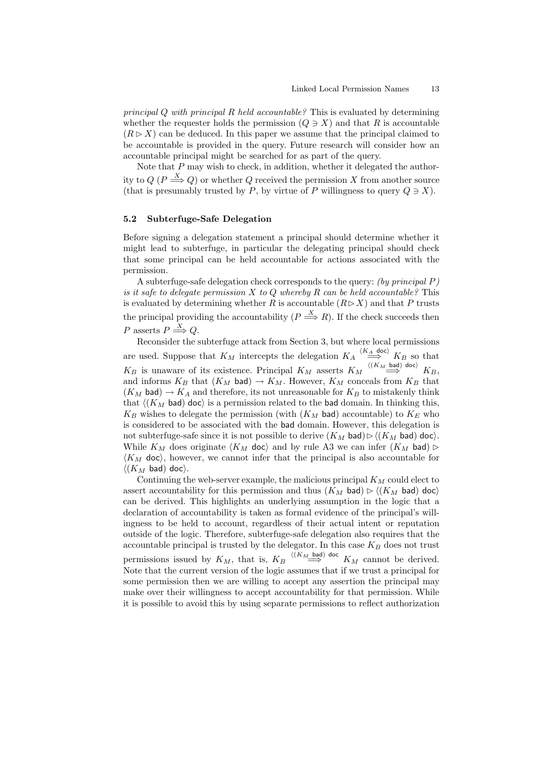principal  $Q$  with principal  $R$  held accountable? This is evaluated by determining whether the requester holds the permission  $(Q \ni X)$  and that R is accountable  $(R \triangleright X)$  can be deduced. In this paper we assume that the principal claimed to be accountable is provided in the query. Future research will consider how an accountable principal might be searched for as part of the query.

Note that P may wish to check, in addition, whether it delegated the authority to  $Q \, (P \stackrel{X}{\Longrightarrow} Q)$  or whether  $Q$  received the permission X from another source (that is presumably trusted by P, by virtue of P willingness to query  $Q \ni X$ ).

#### 5.2 Subterfuge-Safe Delegation

Before signing a delegation statement a principal should determine whether it might lead to subterfuge, in particular the delegating principal should check that some principal can be held accountable for actions associated with the permission.

A subterfuge-safe delegation check corresponds to the query: (by principal P) is it safe to delegate permission  $X$  to  $Q$  whereby  $R$  can be held accountable? This is evaluated by determining whether R is accountable  $(R \triangleright X)$  and that P trusts the principal providing the accountability  $(P \stackrel{X}{\Longrightarrow} R)$ . If the check succeeds then P asserts  $P \stackrel{X}{\Longrightarrow} Q$ .

Reconsider the subterfuge attack from Section 3, but where local permissions are used. Suppose that  $K_M$  intercepts the delegation  $K_A \stackrel{(K_A \text{ doc})}{\Longrightarrow} K_B$  so that  $K_B$  is unaware of its existence. Principal  $K_M$  asserts  $K_M \stackrel{\langle (K_M \text{ bad}) \text{ doc} \rangle}{\Longrightarrow} K_B$ , and informs  $K_B$  that  $(K_M$  bad)  $\rightarrow K_M$ . However,  $K_M$  conceals from  $K_B$  that  $(K_M$  bad)  $\rightarrow K_A$  and therefore, its not unreasonable for  $K_B$  to mistakenly think that  $\langle (K_M \text{ bad}) \text{ doc} \rangle$  is a permission related to the bad domain. In thinking this,  $K_B$  wishes to delegate the permission (with  $(K_M$  bad) accountable) to  $K_E$  who is considered to be associated with the bad domain. However, this delegation is not subterfuge-safe since it is not possible to derive  $(K_M$  bad) $\rhd$   $\langle (K_M$  bad) doc). While  $K_M$  does originate  $\langle K_M$  doc) and by rule A3 we can infer  $(K_M$  bad)  $\triangleright$  $\langle K_M \rangle$  doc), however, we cannot infer that the principal is also accountable for  $\langle (K_M \text{ bad}) \text{ doc} \rangle$ .

Continuing the web-server example, the malicious principal  $K_M$  could elect to assert accountability for this permission and thus  $(K_M$  bad)  $\rhd \langle (K_M \text{ bad}) \text{ doc} \rangle$ can be derived. This highlights an underlying assumption in the logic that a declaration of accountability is taken as formal evidence of the principal's willingness to be held to account, regardless of their actual intent or reputation outside of the logic. Therefore, subterfuge-safe delegation also requires that the accountable principal is trusted by the delegator. In this case  $K_B$  does not trust permissions issued by  $K_M$ , that is,  $K_B \stackrel{\langle (K_M \text{ bad}) \text{ doc}}{\Longrightarrow} K_M$  cannot be derived. Note that the current version of the logic assumes that if we trust a principal for some permission then we are willing to accept any assertion the principal may make over their willingness to accept accountability for that permission. While it is possible to avoid this by using separate permissions to reflect authorization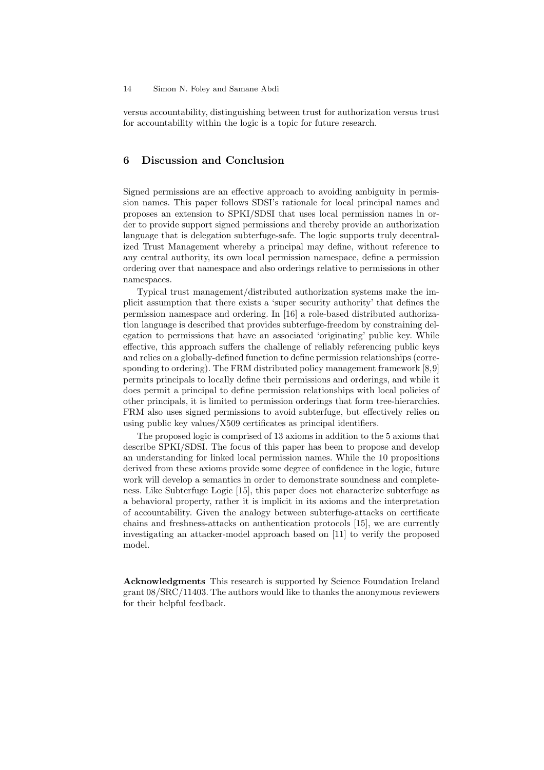versus accountability, distinguishing between trust for authorization versus trust for accountability within the logic is a topic for future research.

## 6 Discussion and Conclusion

Signed permissions are an effective approach to avoiding ambiguity in permission names. This paper follows SDSI's rationale for local principal names and proposes an extension to SPKI/SDSI that uses local permission names in order to provide support signed permissions and thereby provide an authorization language that is delegation subterfuge-safe. The logic supports truly decentralized Trust Management whereby a principal may define, without reference to any central authority, its own local permission namespace, define a permission ordering over that namespace and also orderings relative to permissions in other namespaces.

Typical trust management/distributed authorization systems make the implicit assumption that there exists a 'super security authority' that defines the permission namespace and ordering. In [16] a role-based distributed authorization language is described that provides subterfuge-freedom by constraining delegation to permissions that have an associated 'originating' public key. While effective, this approach suffers the challenge of reliably referencing public keys and relies on a globally-defined function to define permission relationships (corresponding to ordering). The FRM distributed policy management framework [8,9] permits principals to locally define their permissions and orderings, and while it does permit a principal to define permission relationships with local policies of other principals, it is limited to permission orderings that form tree-hierarchies. FRM also uses signed permissions to avoid subterfuge, but effectively relies on using public key values/X509 certificates as principal identifiers.

The proposed logic is comprised of 13 axioms in addition to the 5 axioms that describe SPKI/SDSI. The focus of this paper has been to propose and develop an understanding for linked local permission names. While the 10 propositions derived from these axioms provide some degree of confidence in the logic, future work will develop a semantics in order to demonstrate soundness and completeness. Like Subterfuge Logic [15], this paper does not characterize subterfuge as a behavioral property, rather it is implicit in its axioms and the interpretation of accountability. Given the analogy between subterfuge-attacks on certificate chains and freshness-attacks on authentication protocols [15], we are currently investigating an attacker-model approach based on [11] to verify the proposed model.

Acknowledgments This research is supported by Science Foundation Ireland grant 08/SRC/11403. The authors would like to thanks the anonymous reviewers for their helpful feedback.